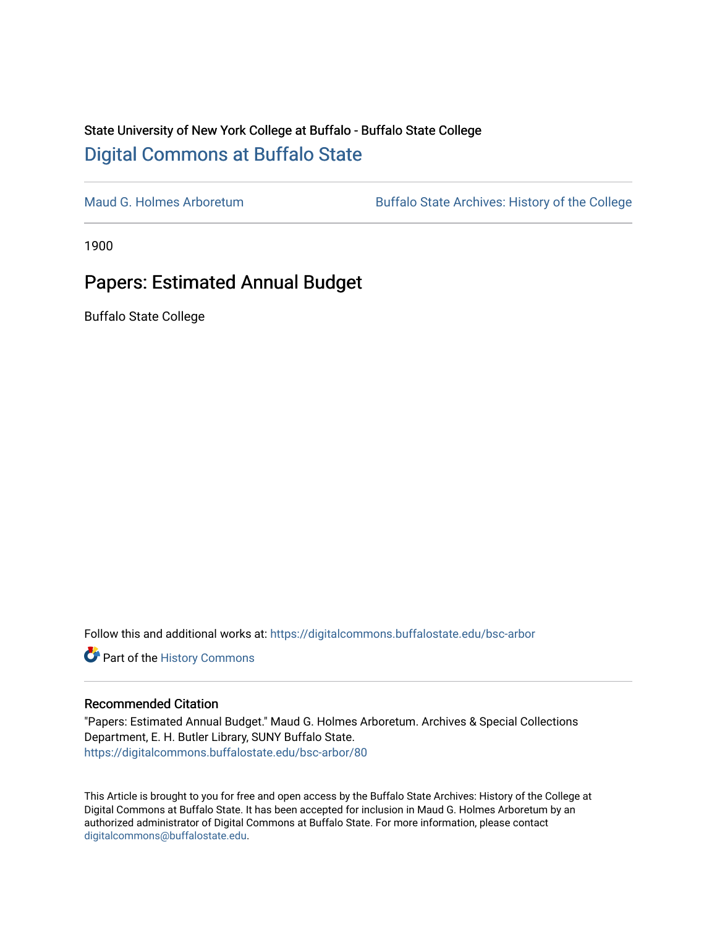#### State University of New York College at Buffalo - Buffalo State College [Digital Commons at Buffalo State](https://digitalcommons.buffalostate.edu/)

[Maud G. Holmes Arboretum](https://digitalcommons.buffalostate.edu/bsc-arbor) Buffalo State Archives: History of the College

1900

### Papers: Estimated Annual Budget

Buffalo State College

Follow this and additional works at: [https://digitalcommons.buffalostate.edu/bsc-arbor](https://digitalcommons.buffalostate.edu/bsc-arbor?utm_source=digitalcommons.buffalostate.edu%2Fbsc-arbor%2F80&utm_medium=PDF&utm_campaign=PDFCoverPages) 

Part of the [History Commons](http://network.bepress.com/hgg/discipline/489?utm_source=digitalcommons.buffalostate.edu%2Fbsc-arbor%2F80&utm_medium=PDF&utm_campaign=PDFCoverPages) 

#### Recommended Citation

"Papers: Estimated Annual Budget." Maud G. Holmes Arboretum. Archives & Special Collections Department, E. H. Butler Library, SUNY Buffalo State. [https://digitalcommons.buffalostate.edu/bsc-arbor/80](https://digitalcommons.buffalostate.edu/bsc-arbor/80?utm_source=digitalcommons.buffalostate.edu%2Fbsc-arbor%2F80&utm_medium=PDF&utm_campaign=PDFCoverPages) 

This Article is brought to you for free and open access by the Buffalo State Archives: History of the College at Digital Commons at Buffalo State. It has been accepted for inclusion in Maud G. Holmes Arboretum by an authorized administrator of Digital Commons at Buffalo State. For more information, please contact [digitalcommons@buffalostate.edu.](mailto:digitalcommons@buffalostate.edu)